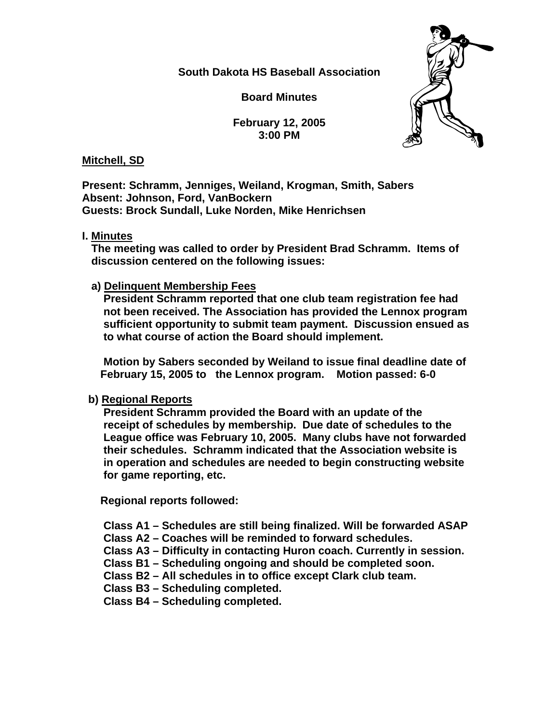**South Dakota HS Baseball Association** 

**Board Minutes** 

**February 12, 2005 3:00 PM** 



## **Mitchell, SD**

**Present: Schramm, Jenniges, Weiland, Krogman, Smith, Sabers Absent: Johnson, Ford, VanBockern Guests: Brock Sundall, Luke Norden, Mike Henrichsen** 

**I. Minutes**

 **The meeting was called to order by President Brad Schramm. Items of discussion centered on the following issues:** 

 **a) Delinquent Membership Fees** 

 **President Schramm reported that one club team registration fee had not been received. The Association has provided the Lennox program sufficient opportunity to submit team payment. Discussion ensued as to what course of action the Board should implement.** 

 **Motion by Sabers seconded by Weiland to issue final deadline date of February 15, 2005 to the Lennox program. Motion passed: 6-0** 

# **b) Regional Reports**

 **President Schramm provided the Board with an update of the receipt of schedules by membership. Due date of schedules to the League office was February 10, 2005. Many clubs have not forwarded their schedules. Schramm indicated that the Association website is in operation and schedules are needed to begin constructing website for game reporting, etc.** 

 **Regional reports followed:** 

 **Class A1 – Schedules are still being finalized. Will be forwarded ASAP** 

- **Class A2 Coaches will be reminded to forward schedules.**
- **Class A3 Difficulty in contacting Huron coach. Currently in session.**
- **Class B1 Scheduling ongoing and should be completed soon.**
- **Class B2 All schedules in to office except Clark club team.**
- **Class B3 Scheduling completed.**

 **Class B4 – Scheduling completed.**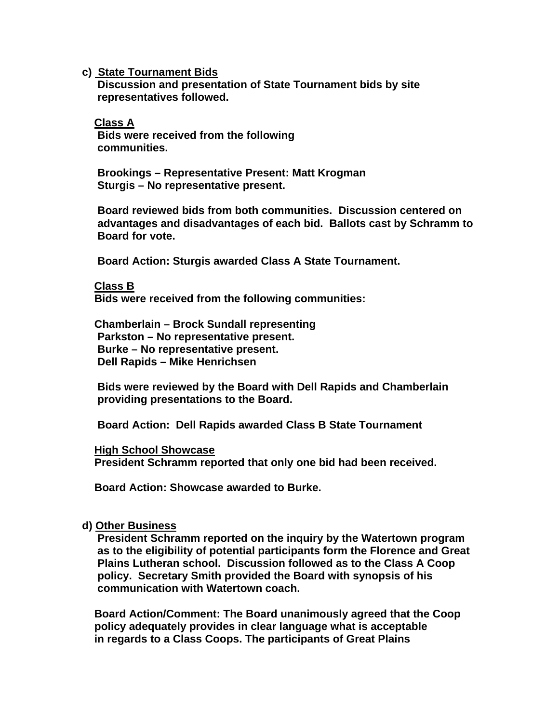**c) State Tournament Bids**

 **Discussion and presentation of State Tournament bids by site representatives followed.** 

 **Class A Bids were received from the following communities.** 

 **Brookings – Representative Present: Matt Krogman Sturgis – No representative present.** 

 **Board reviewed bids from both communities. Discussion centered on advantages and disadvantages of each bid. Ballots cast by Schramm to Board for vote.** 

 **Board Action: Sturgis awarded Class A State Tournament.** 

## **Class B**

 **Bids were received from the following communities:** 

 **Chamberlain – Brock Sundall representing Parkston – No representative present. Burke – No representative present. Dell Rapids – Mike Henrichsen** 

 **Bids were reviewed by the Board with Dell Rapids and Chamberlain providing presentations to the Board.** 

 **Board Action: Dell Rapids awarded Class B State Tournament** 

#### **High School Showcase**

 **President Schramm reported that only one bid had been received.** 

 **Board Action: Showcase awarded to Burke.** 

## **d) Other Business**

 **President Schramm reported on the inquiry by the Watertown program as to the eligibility of potential participants form the Florence and Great Plains Lutheran school. Discussion followed as to the Class A Coop policy. Secretary Smith provided the Board with synopsis of his communication with Watertown coach.** 

 **Board Action/Comment: The Board unanimously agreed that the Coop policy adequately provides in clear language what is acceptable in regards to a Class Coops. The participants of Great Plains**